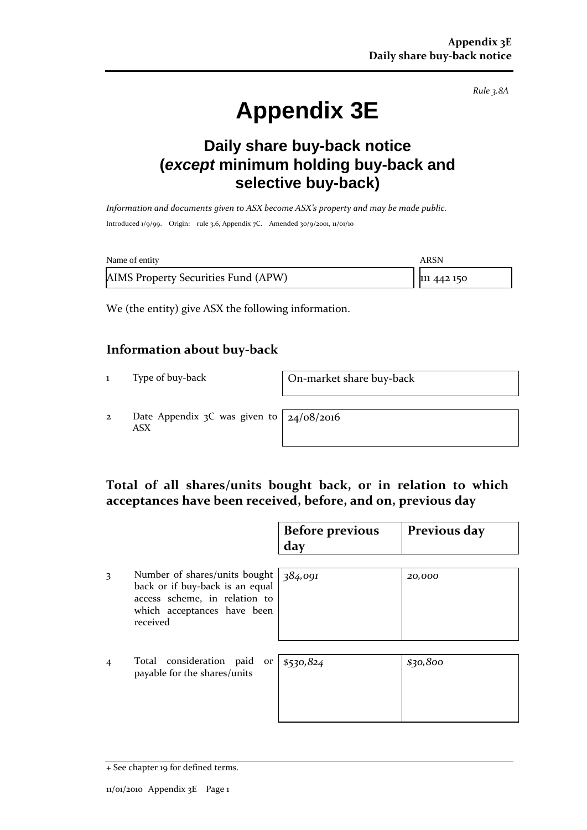*Rule 3.8A*

# **Appendix 3E**

# **Daily share buy-back notice (***except* **minimum holding buy-back and selective buy-back)**

*Information and documents given to ASX become ASX's property and may be made public.* Introduced 1/9/99. Origin: rule 3.6, Appendix 7C. Amended 30/9/2001, 11/01/10

| Name of entity                      | ARSN        |
|-------------------------------------|-------------|
| AIMS Property Securities Fund (APW) | 111 442 150 |

We (the entity) give ASX the following information.

#### **Information about buy-back**

1 Type of buy-back On-market share buy-back

2 Date Appendix  $3C$  was given to ASX

24/08/2016

## **Total of all shares/units bought back, or in relation to which acceptances have been received, before, and on, previous day**

|   |                                                                                                                                              | <b>Before previous</b><br>day | Previous day |
|---|----------------------------------------------------------------------------------------------------------------------------------------------|-------------------------------|--------------|
| 3 | Number of shares/units bought<br>back or if buy-back is an equal<br>access scheme, in relation to<br>which acceptances have been<br>received | 384,091                       | 20,000       |
| 4 | Total consideration paid<br>or<br>payable for the shares/units                                                                               | \$530,824                     | \$30,800     |

<sup>+</sup> See chapter 19 for defined terms.